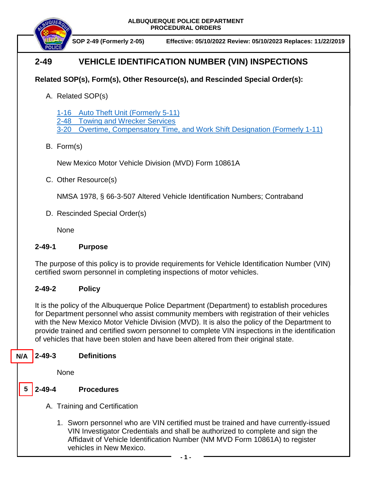**ALBUQUERQUE POLICE DEPARTMENT PROCEDURAL ORDERS**



**SOP 2-49 (Formerly 2-05) Effective: 05/10/2022 Review: 05/10/2023 Replaces: 11/22/2019**

# **2-49 VEHICLE IDENTIFICATION NUMBER (VIN) INSPECTIONS**

## **Related SOP(s), Form(s), Other Resource(s), and Rescinded Special Order(s):**

A. Related SOP(s)

[1-16 Auto Theft Unit \(Formerly 5-11\)](https://powerdms.com/docs/530?q=1-16)

[2-48 Towing and Wrecker Services](https://powerdms.com/docs/131?q=2-48)

3-20 Overtime, Compensatory [Time, and Work Shift Designation](https://powerdms.com/docs/34?q=3-20) (Formerly 1-11)

### B. Form(s)

New Mexico Motor Vehicle Division (MVD) Form 10861A

C. Other Resource(s)

NMSA 1978, § 66-3-507 Altered Vehicle Identification Numbers; Contraband

D. Rescinded Special Order(s)

None

### **2-49-1 Purpose**

The purpose of this policy is to provide requirements for Vehicle Identification Number (VIN) certified sworn personnel in completing inspections of motor vehicles.

### **2-49-2 Policy**

It is the policy of the Albuquerque Police Department (Department) to establish procedures for Department personnel who assist community members with registration of their vehicles with the New Mexico Motor Vehicle Division (MVD). It is also the policy of the Department to provide trained and certified sworn personnel to complete VIN inspections in the identification of vehicles that have been stolen and have been altered from their original state.

#### **2-49-3 Definitions N/A**

None

- **2-49-4 Procedures 5**
	- A. Training and Certification
		- 1. Sworn personnel who are VIN certified must be trained and have currently-issued VIN Investigator Credentials and shall be authorized to complete and sign the Affidavit of Vehicle Identification Number (NM MVD Form 10861A) to register vehicles in New Mexico.